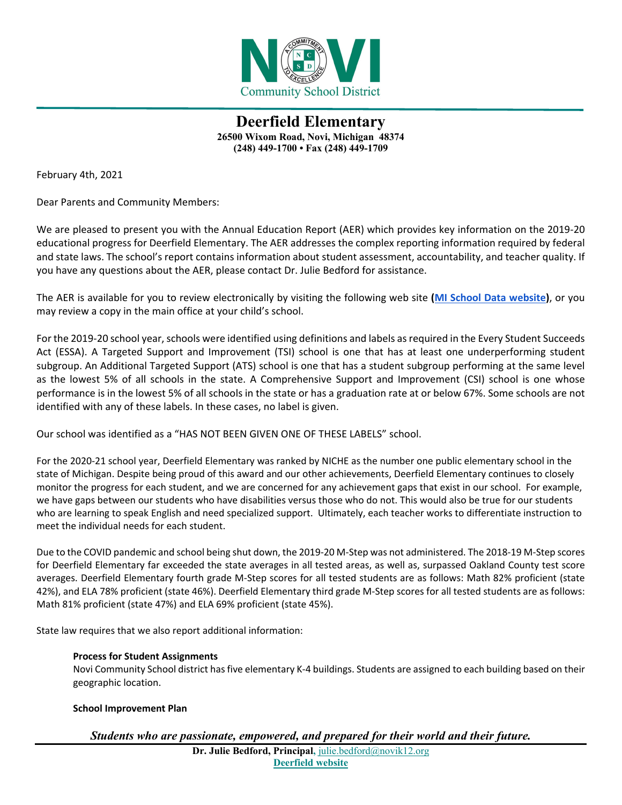

**Deerfield Elementary 26500 Wixom Road, Novi, Michigan 48374 (248) 449-1700 • Fax (248) 449-1709**

February 4th, 2021

Dear Parents and Community Members:

We are pleased to present you with the Annual Education Report (AER) which provides key information on the 2019-20 educational progress for Deerfield Elementary. The AER addresses the complex reporting information required by federal and state laws. The school's report contains information about student assessment, accountability, and teacher quality. If you have any questions about the AER, please contact Dr. Julie Bedford for assistance.

The AER is available for you to review electronically by visiting the following web site **[\(MI School Data website\)](https://bit.ly/2LYegvr)**, or you may review a copy in the main office at your child's school.

For the 2019-20 school year, schools were identified using definitions and labels as required in the Every Student Succeeds Act (ESSA). A Targeted Support and Improvement (TSI) school is one that has at least one underperforming student subgroup. An Additional Targeted Support (ATS) school is one that has a student subgroup performing at the same level as the lowest 5% of all schools in the state. A Comprehensive Support and Improvement (CSI) school is one whose performance is in the lowest 5% of all schools in the state or has a graduation rate at or below 67%. Some schools are not identified with any of these labels. In these cases, no label is given.

Our school was identified as a "HAS NOT BEEN GIVEN ONE OF THESE LABELS" school.

For the 2020-21 school year, Deerfield Elementary was ranked by NICHE as the number one public elementary school in the state of Michigan. Despite being proud of this award and our other achievements, Deerfield Elementary continues to closely monitor the progress for each student, and we are concerned for any achievement gaps that exist in our school. For example, we have gaps between our students who have disabilities versus those who do not. This would also be true for our students who are learning to speak English and need specialized support. Ultimately, each teacher works to differentiate instruction to meet the individual needs for each student.

Due to the COVID pandemic and school being shut down, the 2019-20 M-Step was not administered. The 2018-19 M-Step scores for Deerfield Elementary far exceeded the state averages in all tested areas, as well as, surpassed Oakland County test score averages. Deerfield Elementary fourth grade M-Step scores for all tested students are as follows: Math 82% proficient (state 42%), and ELA 78% proficient (state 46%). Deerfield Elementary third grade M-Step scores for all tested students are as follows: Math 81% proficient (state 47%) and ELA 69% proficient (state 45%).

State law requires that we also report additional information:

## **Process for Student Assignments**

Novi Community School district has five elementary K-4 buildings. Students are assigned to each building based on their geographic location.

## **School Improvement Plan**

# *Students who are passionate, empowered, and prepared for their world and their future.*

**Dr. Julie Bedford, Principal,** [julie.bedford@novik12.org](about:blank)  **[Deerfield website](http://www.novi.k12.mi.us/df/)**